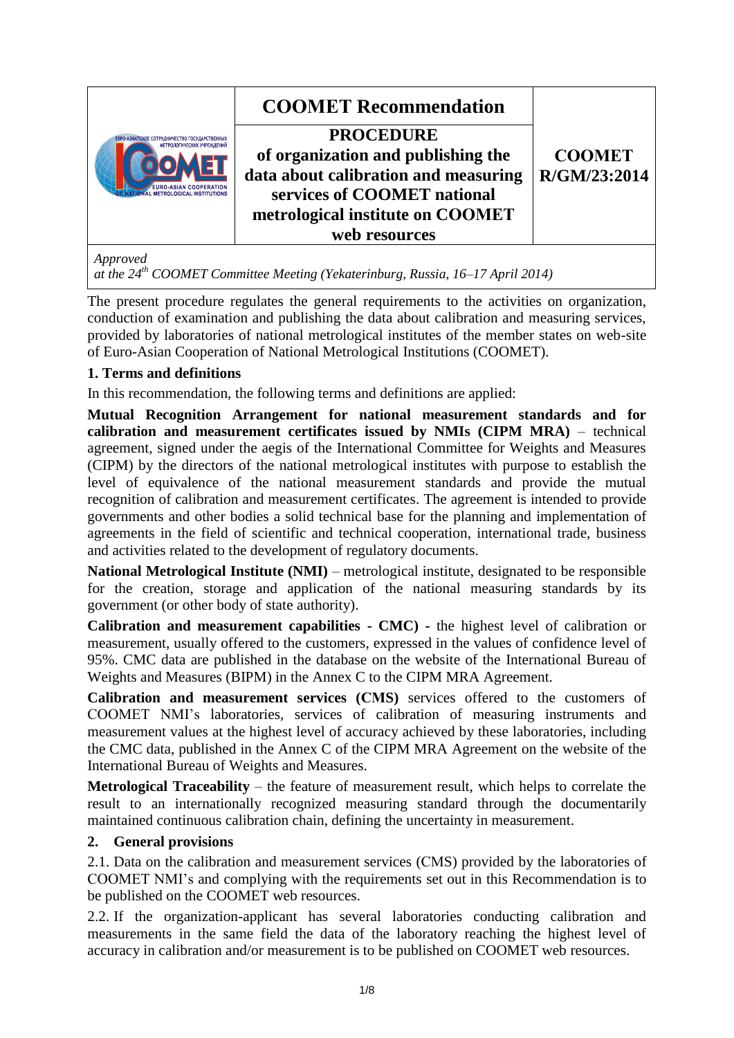| ЕВРО-АЗИАТСКОЕ СОТРУДНИЧЕСТВО ГОСУДАРСТВЕННЫХ<br>МЕТРОЛОГИЧЕСКИХ УЧРЕЖДЕНИЙ<br><b>EURO-ASIAN COOPERATION</b><br>AL METROLOGICAL INSTITUTIONS | <b>COOMET Recommendation</b><br><b>PROCEDURE</b><br>of organization and publishing the<br>data about calibration and measuring<br>services of COOMET national<br>metrological institute on COOMET<br>web resources | <b>COOMET</b><br>R/GM/23:2014 |
|----------------------------------------------------------------------------------------------------------------------------------------------|--------------------------------------------------------------------------------------------------------------------------------------------------------------------------------------------------------------------|-------------------------------|
|                                                                                                                                              |                                                                                                                                                                                                                    |                               |

*at the 24 th COOMET Committee Meeting (Yekaterinburg, Russia, 16–17 April 2014)*

The present procedure regulates the general requirements to the activities on organization, conduction of examination and publishing the data about calibration and measuring services, provided by laboratories of national metrological institutes of the member states on web-site of Euro-Asian Cooperation of National Metrological Institutions (COOMET).

## **1. Terms and definitions**

In this recommendation, the following terms and definitions are applied:

**Mutual Recognition Arrangement for national measurement standards and for calibration and measurement certificates issued by NMIs (CIPM MRA)** – technical agreement, signed under the aegis of the International Committee for Weights and Measures (CIPM) by the directors of the national metrological institutes with purpose to establish the level of equivalence of the national measurement standards and provide the mutual recognition of calibration and measurement certificates. The agreement is intended to provide governments and other bodies a solid technical base for the planning and implementation of agreements in the field of scientific and technical cooperation, international trade, business and activities related to the development of regulatory documents.

**National Metrological Institute (NMI)** – metrological institute, designated to be responsible for the creation, storage and application of the national measuring standards by its government (or other body of state authority).

**Calibration and measurement capabilities - CMC) -** the highest level of calibration or measurement, usually offered to the customers, expressed in the values of confidence level of 95%. CMC data are published in the database on the website of the International Bureau of Weights and Measures (BIPM) in the Annex C to the CIPM MRA Agreement.

**Calibration and measurement services (СМS)** services offered to the customers of COOMET NMI's laboratories, services of calibration of measuring instruments and measurement values at the highest level of accuracy achieved by these laboratories, including the CMC data, published in the Annex C of the CIPM MRA Agreement on the website of the International Bureau of Weights and Measures.

**Metrological Traceability** – the feature of measurement result, which helps to correlate the result to an internationally recognized measuring standard through the documentarily maintained continuous calibration chain, defining the uncertainty in measurement.

### **2. General provisions**

2.1. Data on the calibration and measurement services (СМS) provided by the laboratories of COOMET NMI's and complying with the requirements set out in this Recommendation is to be published on the COOMET web resources.

2.2. If the organization-applicant has several laboratories conducting calibration and measurements in the same field the data of the laboratory reaching the highest level of accuracy in calibration and/or measurement is to be published on COOMET web resources.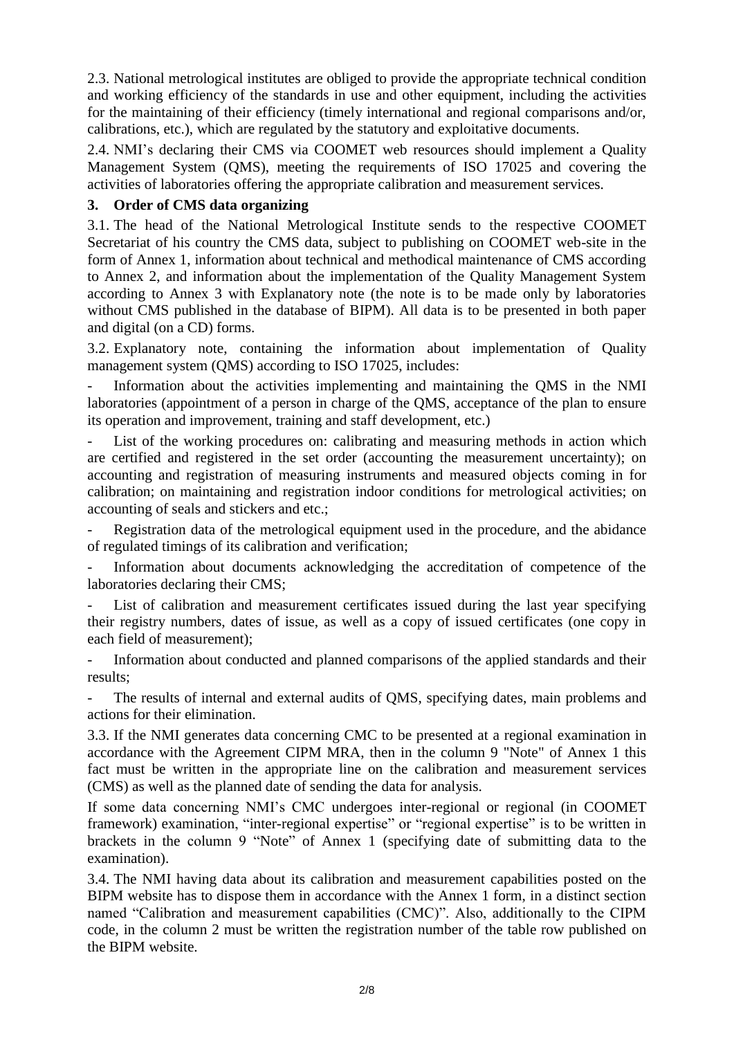2.3. National metrological institutes are obliged to provide the appropriate technical condition and working efficiency of the standards in use and other equipment, including the activities for the maintaining of their efficiency (timely international and regional comparisons and/or, calibrations, etc.), which are regulated by the statutory and exploitative documents.

2.4. NMI's declaring their CMS via COOMET web resources should implement a Quality Management System (QMS), meeting the requirements of ISO 17025 and covering the activities of laboratories offering the appropriate calibration and measurement services.

### **3. Order of CMS data organizing**

3.1. The head of the National Metrological Institute sends to the respective COOMET Secretariat of his country the CMS data, subject to publishing on COOMET web-site in the form of Annex 1, information about technical and methodical maintenance of CMS according to Annex 2, and information about the implementation of the Quality Management System according to Annex 3 with Explanatory note (the note is to be made only by laboratories without CMS published in the database of BIPM). All data is to be presented in both paper and digital (on a CD) forms.

3.2. Explanatory note, containing the information about implementation of Quality management system (QMS) according to ISO 17025, includes:

Information about the activities implementing and maintaining the OMS in the NMI laboratories (appointment of a person in charge of the QMS, acceptance of the plan to ensure its operation and improvement, training and staff development, etc.)

List of the working procedures on: calibrating and measuring methods in action which are certified and registered in the set order (accounting the measurement uncertainty); on accounting and registration of measuring instruments and measured objects coming in for calibration; on maintaining and registration indoor conditions for metrological activities; on accounting of seals and stickers and etc.;

Registration data of the metrological equipment used in the procedure, and the abidance of regulated timings of its calibration and verification;

Information about documents acknowledging the accreditation of competence of the laboratories declaring their CMS;

List of calibration and measurement certificates issued during the last year specifying their registry numbers, dates of issue, as well as a copy of issued certificates (one copy in each field of measurement);

- Information about conducted and planned comparisons of the applied standards and their results;

The results of internal and external audits of OMS, specifying dates, main problems and actions for their elimination.

3.3. If the NMI generates data concerning CMC to be presented at a regional examination in accordance with the Agreement CIPM MRA, then in the column 9 "Note" of Annex 1 this fact must be written in the appropriate line on the calibration and measurement services (CMS) as well as the planned date of sending the data for analysis.

If some data concerning NMI's CMC undergoes inter-regional or regional (in COOMET framework) examination, "inter-regional expertise" or "regional expertise" is to be written in brackets in the column 9 "Note" of Annex 1 (specifying date of submitting data to the examination).

3.4. The NMI having data about its calibration and measurement capabilities posted on the BIPM website has to dispose them in accordance with the Annex 1 form, in a distinct section named "Calibration and measurement capabilities (CMC)". Also, additionally to the CIPM code, in the column 2 must be written the registration number of the table row published on the BIPM website.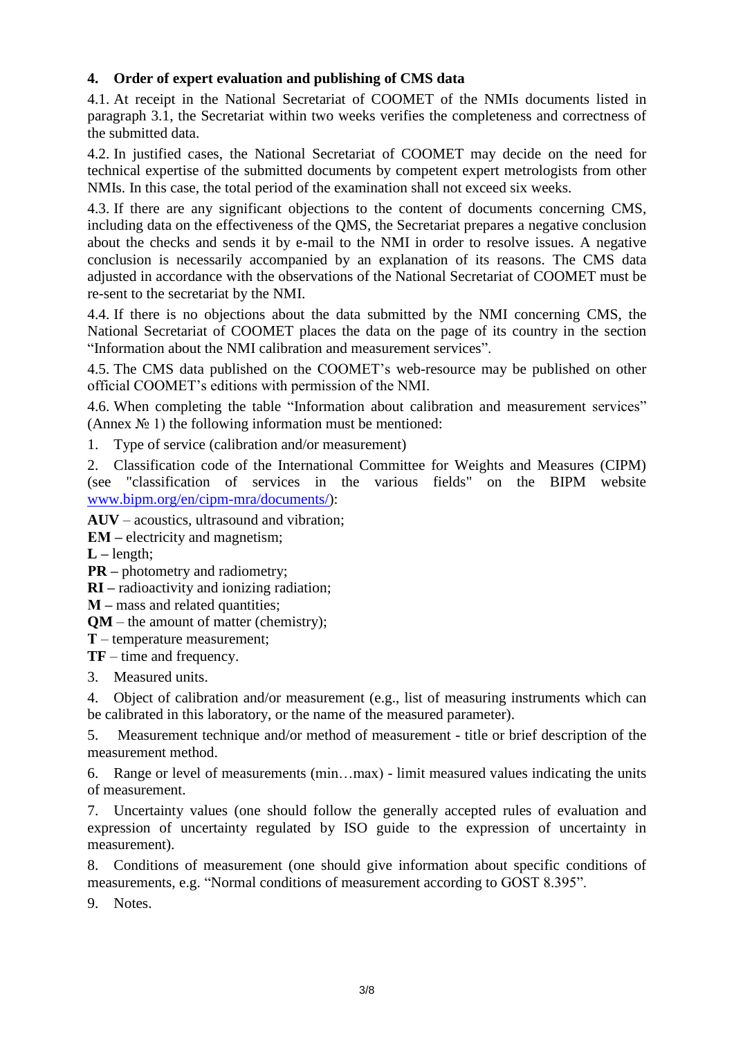## **4. Order of expert evaluation and publishing of CMS data**

4.1. At receipt in the National Secretariat of COOMET of the NMIs documents listed in paragraph 3.1, the Secretariat within two weeks verifies the completeness and correctness of the submitted data.

4.2. In justified cases, the National Secretariat of COOMET may decide on the need for technical expertise of the submitted documents by competent expert metrologists from other NMIs. In this case, the total period of the examination shall not exceed six weeks.

4.3. If there are any significant objections to the content of documents concerning CMS, including data on the effectiveness of the QMS, the Secretariat prepares a negative conclusion about the checks and sends it by e-mail to the NMI in order to resolve issues. A negative conclusion is necessarily accompanied by an explanation of its reasons. The CMS data adjusted in accordance with the observations of the National Secretariat of COOMET must be re-sent to the secretariat by the NMI.

4.4. If there is no objections about the data submitted by the NMI concerning CMS, the National Secretariat of COOMET places the data on the page of its country in the section "Information about the NMI calibration and measurement services".

4.5. The CMS data published on the COOMET's web-resource may be published on other official COOMET's editions with permission of the NMI.

4.6. When completing the table "Information about calibration and measurement services" (Annex  $\mathcal{N}_2$  1) the following information must be mentioned:

1. Type of service (calibration and/or measurement)

2. Classification code of the International Committee for Weights and Measures (CIPM) (see "classification of services in the various fields" on the BIPM website [www.bipm.org/en/cipm-mra/documents/\)](http://www.bipm.org/en/cipm-mra/documents/):

**AUV** – acoustics, ultrasound and vibration;

**EM** – electricity and magnetism;

 $L$  – length;

**PR** – photometry and radiometry;

**RI –** radioactivity and ionizing radiation;

**М –** mass and related quantities;

**QM** – the amount of matter (chemistry);

**Т** – temperature measurement;

**TF** – time and frequency.

3. Measured units.

4. Object of calibration and/or measurement (e.g., list of measuring instruments which can be calibrated in this laboratory, or the name of the measured parameter).

5. Measurement technique and/or method of measurement - title or brief description of the measurement method.

6. Range or level of measurements (min…max) - limit measured values indicating the units of measurement.

7. Uncertainty values (one should follow the generally accepted rules of evaluation and expression of uncertainty regulated by ISO guide to the expression of uncertainty in measurement).

8. Conditions of measurement (one should give information about specific conditions of measurements, e.g. "Normal conditions of measurement according to GOST 8.395".

9. Notes.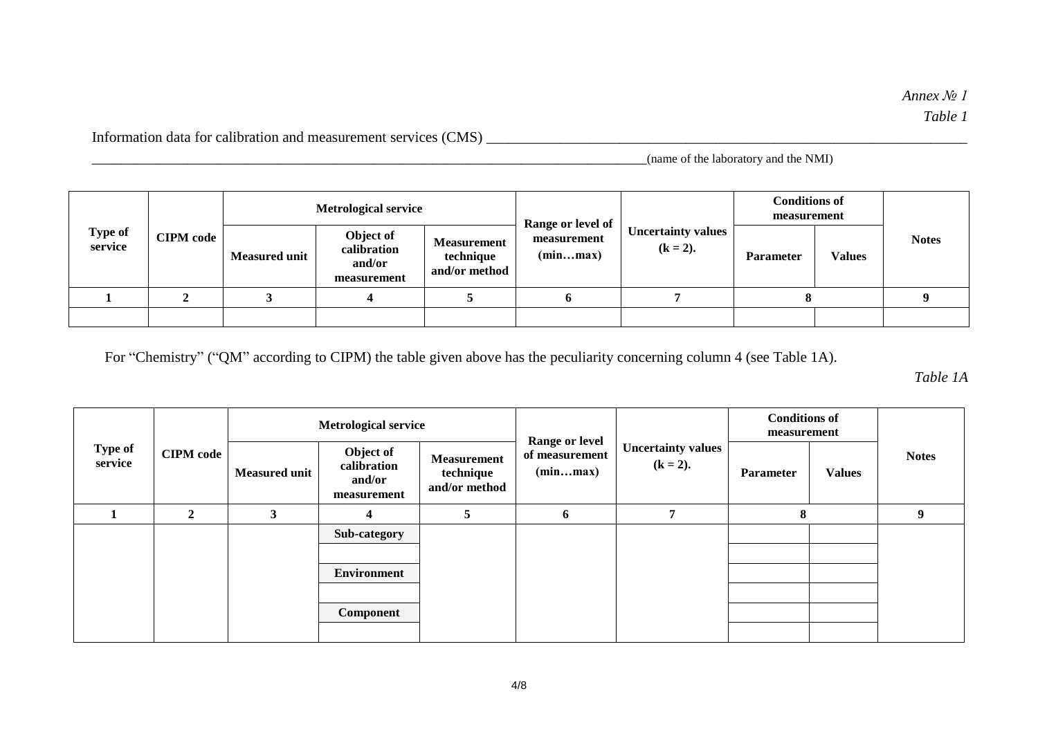Information data for calibration and measurement services (CMS) \_\_\_\_\_\_\_\_\_\_\_\_\_\_\_\_\_\_\_\_\_\_\_\_\_\_\_\_\_\_\_\_\_\_\_\_\_\_\_\_\_\_\_\_\_\_\_\_\_\_\_\_\_\_\_\_\_\_\_\_\_\_\_\_\_

\_\_\_\_\_\_\_\_\_\_\_\_\_\_\_\_\_\_\_\_\_\_\_\_\_\_\_\_\_\_\_\_\_\_\_\_\_\_\_\_\_\_\_\_\_\_\_\_\_\_\_\_\_\_\_\_\_\_\_\_\_\_\_\_\_\_\_\_\_\_\_\_\_\_\_(name of the laboratory and the NMI)

|                    |                  | <b>Metrological service</b> |                                                   |                                                  |                                              |                                          | <b>Conditions of</b><br>measurement |               |              |
|--------------------|------------------|-----------------------------|---------------------------------------------------|--------------------------------------------------|----------------------------------------------|------------------------------------------|-------------------------------------|---------------|--------------|
| Type of<br>service | <b>CIPM</b> code | <b>Measured unit</b>        | Object of<br>calibration<br>and/or<br>measurement | <b>Measurement</b><br>technique<br>and/or method | Range or level of<br>measurement<br>(minmax) | <b>Uncertainty values</b><br>$(k = 2)$ . | <b>Parameter</b>                    | <b>Values</b> | <b>Notes</b> |
|                    |                  |                             |                                                   |                                                  | o                                            |                                          | o                                   |               |              |
|                    |                  |                             |                                                   |                                                  |                                              |                                          |                                     |               |              |

For "Chemistry" ("QM" according to CIPM) the table given above has the peculiarity concerning column 4 (see Table 1A).

*Table 1A*

|                           |                  |                      | <b>Metrological service</b>                       | <b>Range or level</b>                            |                            |                                          | <b>Conditions of</b><br>measurement |               |              |
|---------------------------|------------------|----------------------|---------------------------------------------------|--------------------------------------------------|----------------------------|------------------------------------------|-------------------------------------|---------------|--------------|
| <b>Type of</b><br>service | <b>CIPM</b> code | <b>Measured unit</b> | Object of<br>calibration<br>and/or<br>measurement | <b>Measurement</b><br>technique<br>and/or method | of measurement<br>(minmax) | <b>Uncertainty values</b><br>$(k = 2)$ . | <b>Parameter</b>                    | <b>Values</b> | <b>Notes</b> |
|                           | $\mathbf{2}$     | 3                    | $\overline{4}$                                    | 5                                                | 6                          | 7                                        | 8                                   |               | 9            |
|                           |                  |                      | Sub-category                                      |                                                  |                            |                                          |                                     |               |              |
|                           |                  |                      |                                                   |                                                  |                            |                                          |                                     |               |              |
|                           |                  |                      | <b>Environment</b>                                |                                                  |                            |                                          |                                     |               |              |
|                           |                  |                      |                                                   |                                                  |                            |                                          |                                     |               |              |
|                           |                  |                      | Component                                         |                                                  |                            |                                          |                                     |               |              |
|                           |                  |                      |                                                   |                                                  |                            |                                          |                                     |               |              |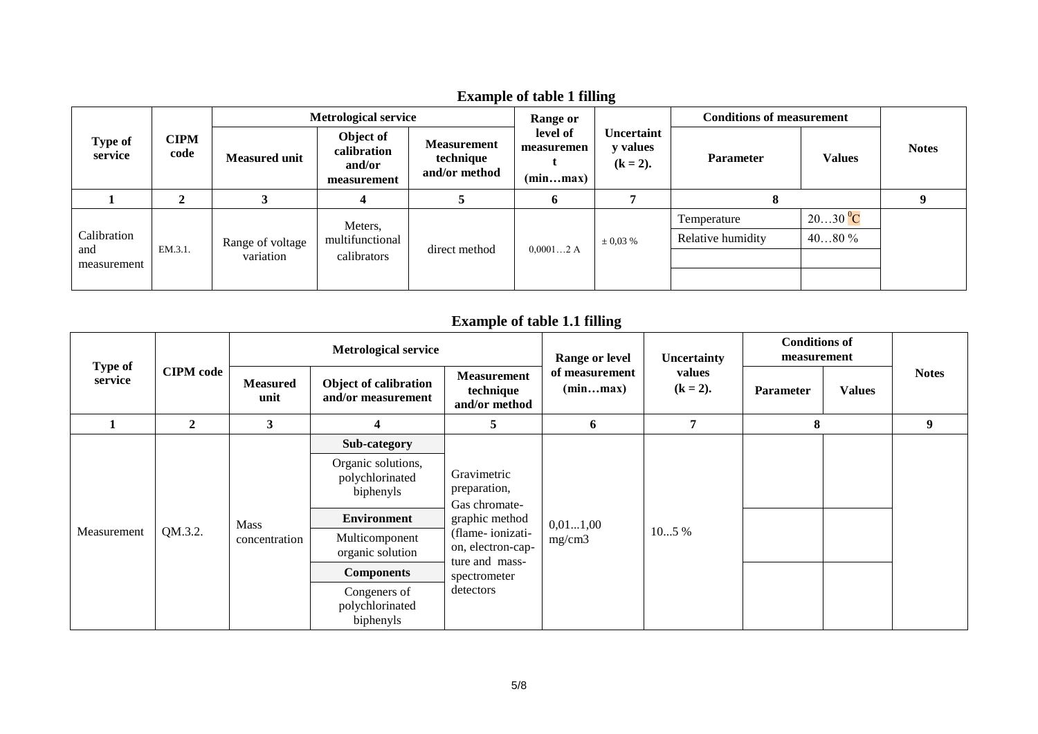|                                              |                     | <b>Metrological service</b> |                                                   |                                                  | Range or                           |                                       | <b>Conditions of measurement</b> |               |              |
|----------------------------------------------|---------------------|-----------------------------|---------------------------------------------------|--------------------------------------------------|------------------------------------|---------------------------------------|----------------------------------|---------------|--------------|
| Type of<br>service                           | <b>CIPM</b><br>code | <b>Measured unit</b>        | Object of<br>calibration<br>and/or<br>measurement | <b>Measurement</b><br>technique<br>and/or method | level of<br>measuremen<br>(minmax) | Uncertaint<br>y values<br>$(k = 2)$ . | <b>Parameter</b>                 | <b>Values</b> | <b>Notes</b> |
|                                              |                     |                             |                                                   |                                                  | 0                                  |                                       | 8                                |               |              |
|                                              |                     |                             | Meters,                                           |                                                  |                                    |                                       | Temperature                      | $2030\,^0C$   |              |
| Calibration<br>EM.3.1.<br>and<br>measurement |                     | Range of voltage            | multifunctional<br>calibrators                    | direct method                                    | $0,00012$ A                        | $\pm 0.03 \%$                         | Relative humidity                | $4080\%$      |              |
|                                              |                     | variation                   |                                                   |                                                  |                                    |                                       |                                  |               |              |
|                                              |                     |                             |                                                   |                                                  |                                    |                                       |                                  |               |              |

# **Example of table 1 filling**

# **Example of table 1.1 filling**

|                           | <b>CIPM</b> code | <b>Metrological service</b>  |                                                    |                                                                                                                                                        | Range or level             | Uncertainty           | <b>Conditions of</b><br>measurement |               |              |
|---------------------------|------------------|------------------------------|----------------------------------------------------|--------------------------------------------------------------------------------------------------------------------------------------------------------|----------------------------|-----------------------|-------------------------------------|---------------|--------------|
| <b>Type of</b><br>service |                  | <b>Measured</b><br>unit      | Object of calibration<br>and/or measurement        | <b>Measurement</b><br>technique<br>and/or method                                                                                                       | of measurement<br>(minmax) | values<br>$(k = 2)$ . | Parameter                           | <b>Values</b> | <b>Notes</b> |
|                           | $\mathbf{2}$     | 3                            | 4                                                  | 5                                                                                                                                                      | 6                          | 7                     | 8                                   |               | 9            |
|                           |                  | <b>Mass</b><br>concentration | Sub-category                                       | Gravimetric<br>preparation,<br>Gas chromate-<br>graphic method<br>(flame-ionizati-<br>on, electron-cap-<br>ture and mass-<br>spectrometer<br>detectors | 0,011,00<br>mg/cm3         | 105 %                 |                                     |               |              |
|                           |                  |                              | Organic solutions,<br>polychlorinated<br>biphenyls |                                                                                                                                                        |                            |                       |                                     |               |              |
|                           |                  |                              | <b>Environment</b>                                 |                                                                                                                                                        |                            |                       |                                     |               |              |
| Measurement               | QM.3.2.          |                              | Multicomponent<br>organic solution                 |                                                                                                                                                        |                            |                       |                                     |               |              |
|                           |                  |                              | <b>Components</b>                                  |                                                                                                                                                        |                            |                       |                                     |               |              |
|                           |                  |                              | Congeners of<br>polychlorinated<br>biphenyls       |                                                                                                                                                        |                            |                       |                                     |               |              |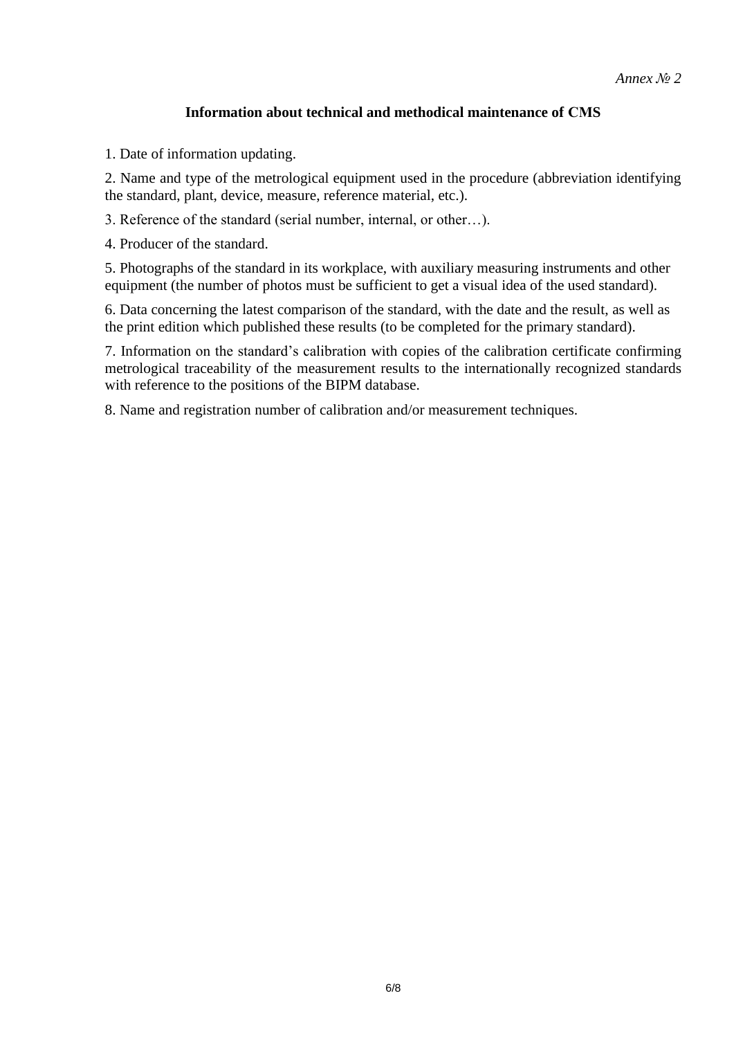### **Information about technical and methodical maintenance of СМS**

1. Date of information updating.

2. Name and type of the metrological equipment used in the procedure (abbreviation identifying the standard, plant, device, measure, reference material, etc.).

3. Reference of the standard (serial number, internal, or other…).

4. Producer of the standard.

5. Photographs of the standard in its workplace, with auxiliary measuring instruments and other equipment (the number of photos must be sufficient to get a visual idea of the used standard).

6. Data concerning the latest comparison of the standard, with the date and the result, as well as the print edition which published these results (to be completed for the primary standard).

7. Information on the standard's calibration with copies of the calibration certificate confirming metrological traceability of the measurement results to the internationally recognized standards with reference to the positions of the BIPM database.

8. Name and registration number of calibration and/or measurement techniques.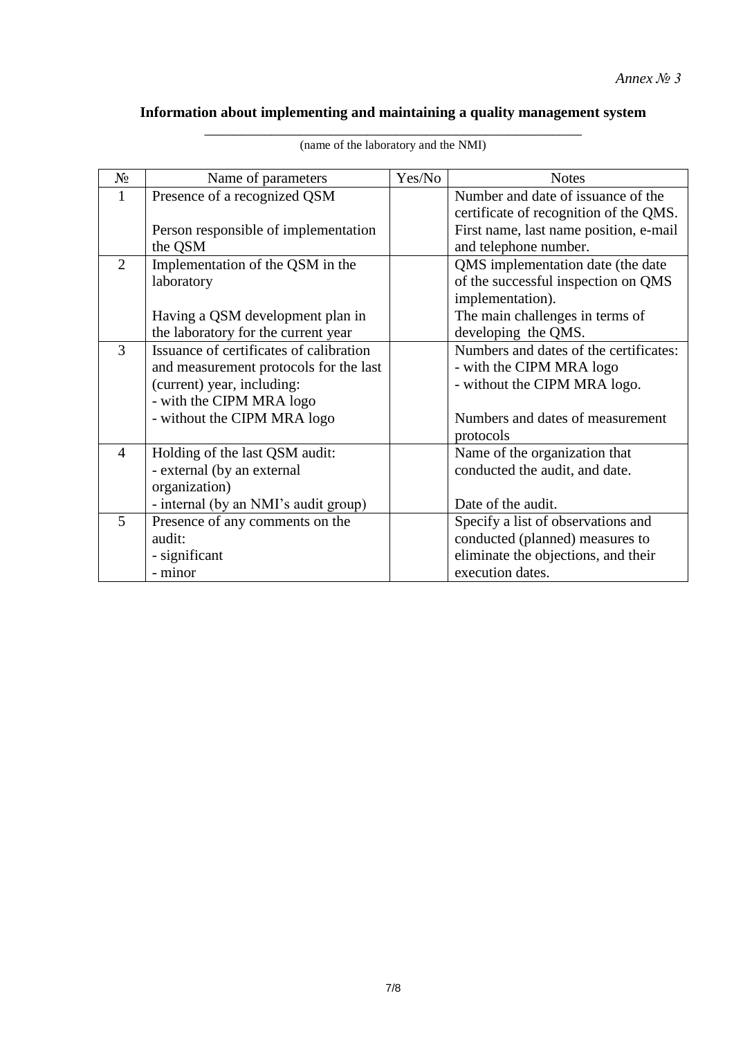# **Information about implementing and maintaining a quality management system**

| $N_{\! \! \underline{0}}$ | Name of parameters                      | Yes/No | <b>Notes</b>                           |
|---------------------------|-----------------------------------------|--------|----------------------------------------|
| 1                         | Presence of a recognized QSM            |        | Number and date of issuance of the     |
|                           |                                         |        | certificate of recognition of the QMS. |
|                           | Person responsible of implementation    |        | First name, last name position, e-mail |
|                           | the QSM                                 |        | and telephone number.                  |
| $\overline{2}$            | Implementation of the QSM in the        |        | QMS implementation date (the date      |
|                           | laboratory                              |        | of the successful inspection on QMS    |
|                           |                                         |        | implementation).                       |
|                           | Having a QSM development plan in        |        | The main challenges in terms of        |
|                           | the laboratory for the current year     |        | developing the QMS.                    |
| 3                         | Issuance of certificates of calibration |        | Numbers and dates of the certificates: |
|                           | and measurement protocols for the last  |        | - with the CIPM MRA logo               |
|                           | (current) year, including:              |        | - without the CIPM MRA logo.           |
|                           | - with the CIPM MRA logo                |        |                                        |
|                           | - without the CIPM MRA logo             |        | Numbers and dates of measurement       |
|                           |                                         |        | protocols                              |
| $\overline{4}$            | Holding of the last QSM audit:          |        | Name of the organization that          |
|                           | - external (by an external              |        | conducted the audit, and date.         |
|                           | organization)                           |        |                                        |
|                           | - internal (by an NMI's audit group)    |        | Date of the audit.                     |
| 5                         | Presence of any comments on the         |        | Specify a list of observations and     |
|                           | audit:                                  |        | conducted (planned) measures to        |
|                           | - significant                           |        | eliminate the objections, and their    |
|                           | - minor                                 |        | execution dates.                       |

\_\_\_\_\_\_\_\_\_\_\_\_\_\_\_\_\_\_\_\_\_\_\_\_\_\_\_\_\_\_\_\_\_\_\_\_\_\_\_\_\_\_\_\_\_\_\_\_\_\_\_ (name of the laboratory and the NMI)